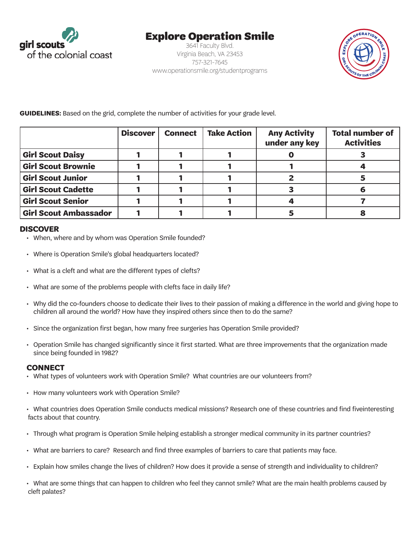

## Explore Operation Smile

3641 Faculty Blvd. Virginia Beach, VA 23453 757-321-7645 www.operationsmile.org/studentprograms



**GUIDELINES:** Based on the grid, complete the number of activities for your grade level.

|                              | <b>Discover</b> | <b>Connect</b> | <b>Take Action</b> | <b>Any Activity</b><br>under any key | <b>Total number of</b><br><b>Activities</b> |
|------------------------------|-----------------|----------------|--------------------|--------------------------------------|---------------------------------------------|
| <b>Girl Scout Daisy</b>      |                 |                |                    |                                      |                                             |
| <b>Girl Scout Brownie</b>    |                 |                |                    |                                      |                                             |
| <b>Girl Scout Junior</b>     |                 |                |                    |                                      |                                             |
| <b>Girl Scout Cadette</b>    |                 |                |                    |                                      |                                             |
| <b>Girl Scout Senior</b>     |                 |                |                    |                                      |                                             |
| <b>Girl Scout Ambassador</b> |                 |                |                    |                                      |                                             |

## **DISCOVER**

- When, where and by whom was Operation Smile founded?
- Where is Operation Smile's global headquarters located?
- What is a cleft and what are the different types of clefts?
- What are some of the problems people with clefts face in daily life?
- • Why did the co-founders choose to dedicate their lives to their passion of making a difference in the world and giving hope to children all around the world? How have they inspired others since then to do the same?
- • Since the organization first began, how many free surgeries has Operation Smile provided?
- • Operation Smile has changed significantly since it first started. What are three improvements that the organization made since being founded in 1982?

## **CONNECT**

- • What types of volunteers work with Operation Smile? What countries are our volunteers from?
- How many volunteers work with Operation Smile?
- • What countries does Operation Smile conducts medical missions? Research one of these countries and find fiveinteresting facts about that country.
- Through what program is Operation Smile helping establish a stronger medical community in its partner countries?
- • What are barriers to care? Research and find three examples of barriers to care that patients may face.
- • Explain how smiles change the lives of children? How does it provide a sense of strength and individuality to children?

• What are some things that can happen to children who feel they cannot smile? What are the main health problems caused by cleft palates?